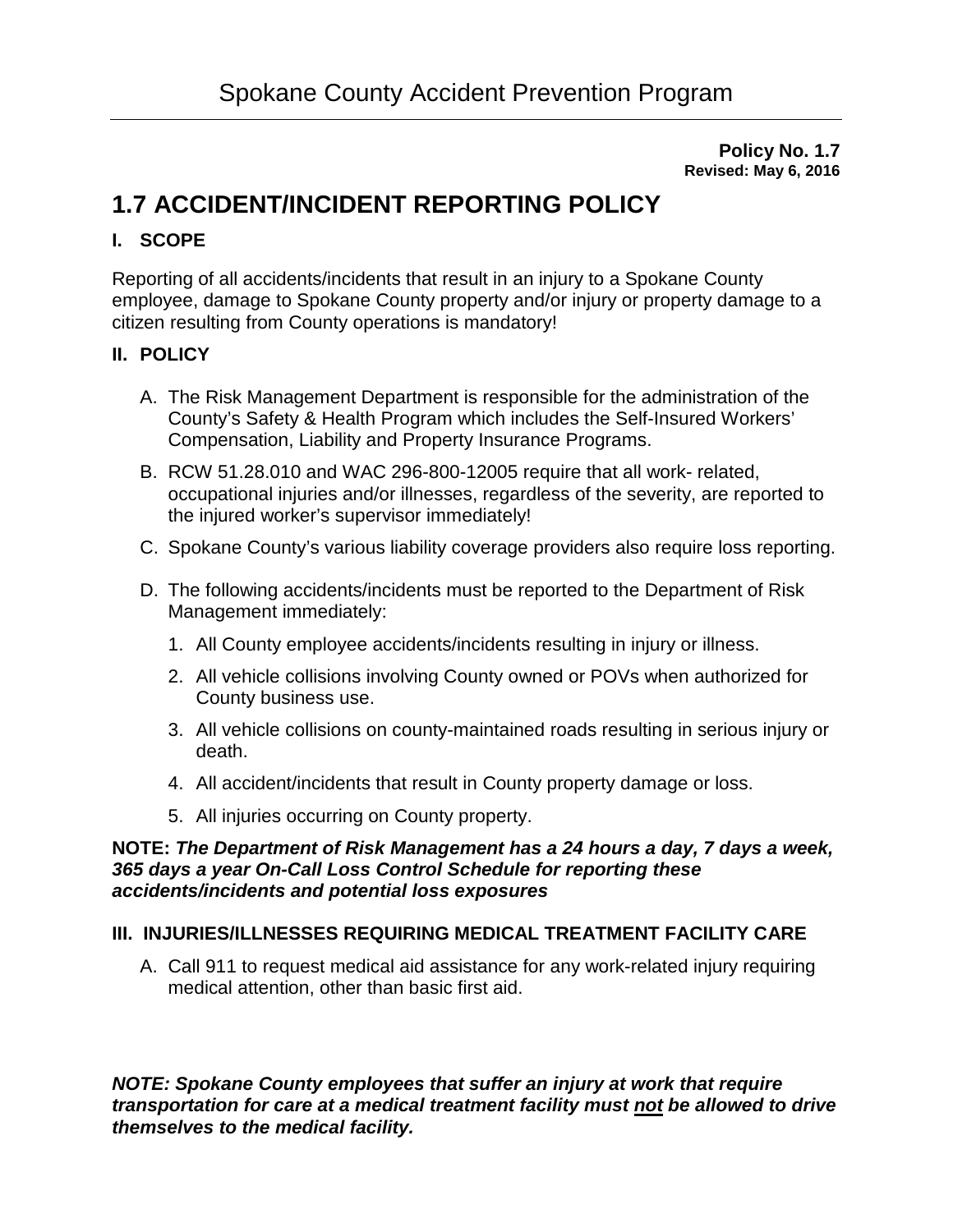**Policy No. 1.7 Revised: May 6, 2016**

# **1.7 ACCIDENT/INCIDENT REPORTING POLICY**

# **I. SCOPE**

Reporting of all accidents/incidents that result in an injury to a Spokane County employee, damage to Spokane County property and/or injury or property damage to a citizen resulting from County operations is mandatory!

## **II. POLICY**

- A. The Risk Management Department is responsible for the administration of the County's Safety & Health Program which includes the Self-Insured Workers' Compensation, Liability and Property Insurance Programs.
- B. RCW 51.28.010 and WAC 296-800-12005 require that all work- related, occupational injuries and/or illnesses, regardless of the severity, are reported to the injured worker's supervisor immediately!
- C. Spokane County's various liability coverage providers also require loss reporting.
- D. The following accidents/incidents must be reported to the Department of Risk Management immediately:
	- 1. All County employee accidents/incidents resulting in injury or illness.
	- 2. All vehicle collisions involving County owned or POVs when authorized for County business use.
	- 3. All vehicle collisions on county-maintained roads resulting in serious injury or death.
	- 4. All accident/incidents that result in County property damage or loss.
	- 5. All injuries occurring on County property.

#### **NOTE:** *The Department of Risk Management has a 24 hours a day, 7 days a week, 365 days a year On-Call Loss Control Schedule for reporting these accidents/incidents and potential loss exposures*

## **III. INJURIES/ILLNESSES REQUIRING MEDICAL TREATMENT FACILITY CARE**

A. Call 911 to request medical aid assistance for any work-related injury requiring medical attention, other than basic first aid.

*NOTE: Spokane County employees that suffer an injury at work that require transportation for care at a medical treatment facility must not be allowed to drive themselves to the medical facility.*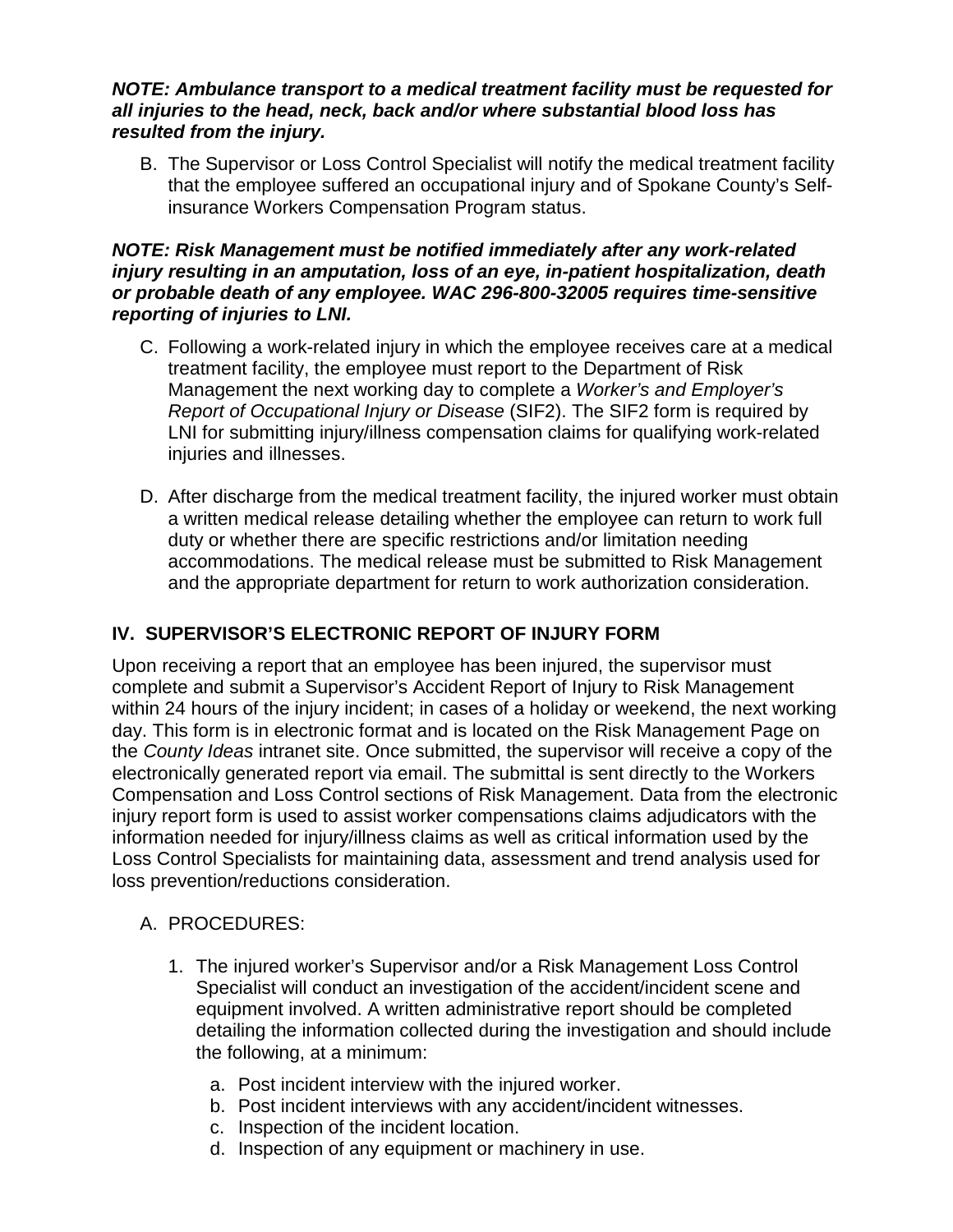#### *NOTE: Ambulance transport to a medical treatment facility must be requested for all injuries to the head, neck, back and/or where substantial blood loss has resulted from the injury.*

B. The Supervisor or Loss Control Specialist will notify the medical treatment facility that the employee suffered an occupational injury and of Spokane County's Selfinsurance Workers Compensation Program status.

#### *NOTE: Risk Management must be notified immediately after any work-related injury resulting in an amputation, loss of an eye, in-patient hospitalization, death or probable death of any employee. WAC 296-800-32005 requires time-sensitive reporting of injuries to LNI.*

- C. Following a work-related injury in which the employee receives care at a medical treatment facility, the employee must report to the Department of Risk Management the next working day to complete a *Worker's and Employer's Report of Occupational Injury or Disease* (SIF2). The SIF2 form is required by LNI for submitting injury/illness compensation claims for qualifying work-related injuries and illnesses.
- D. After discharge from the medical treatment facility, the injured worker must obtain a written medical release detailing whether the employee can return to work full duty or whether there are specific restrictions and/or limitation needing accommodations. The medical release must be submitted to Risk Management and the appropriate department for return to work authorization consideration.

# **IV. SUPERVISOR'S ELECTRONIC REPORT OF INJURY FORM**

Upon receiving a report that an employee has been injured, the supervisor must complete and submit a Supervisor's Accident Report of Injury to Risk Management within 24 hours of the injury incident; in cases of a holiday or weekend, the next working day. This form is in electronic format and is located on the Risk Management Page on the *County Ideas* intranet site. Once submitted, the supervisor will receive a copy of the electronically generated report via email. The submittal is sent directly to the Workers Compensation and Loss Control sections of Risk Management. Data from the electronic injury report form is used to assist worker compensations claims adjudicators with the information needed for injury/illness claims as well as critical information used by the Loss Control Specialists for maintaining data, assessment and trend analysis used for loss prevention/reductions consideration.

## A. PROCEDURES:

- 1. The injured worker's Supervisor and/or a Risk Management Loss Control Specialist will conduct an investigation of the accident/incident scene and equipment involved. A written administrative report should be completed detailing the information collected during the investigation and should include the following, at a minimum:
	- a. Post incident interview with the injured worker.
	- b. Post incident interviews with any accident/incident witnesses.
	- c. Inspection of the incident location.
	- d. Inspection of any equipment or machinery in use.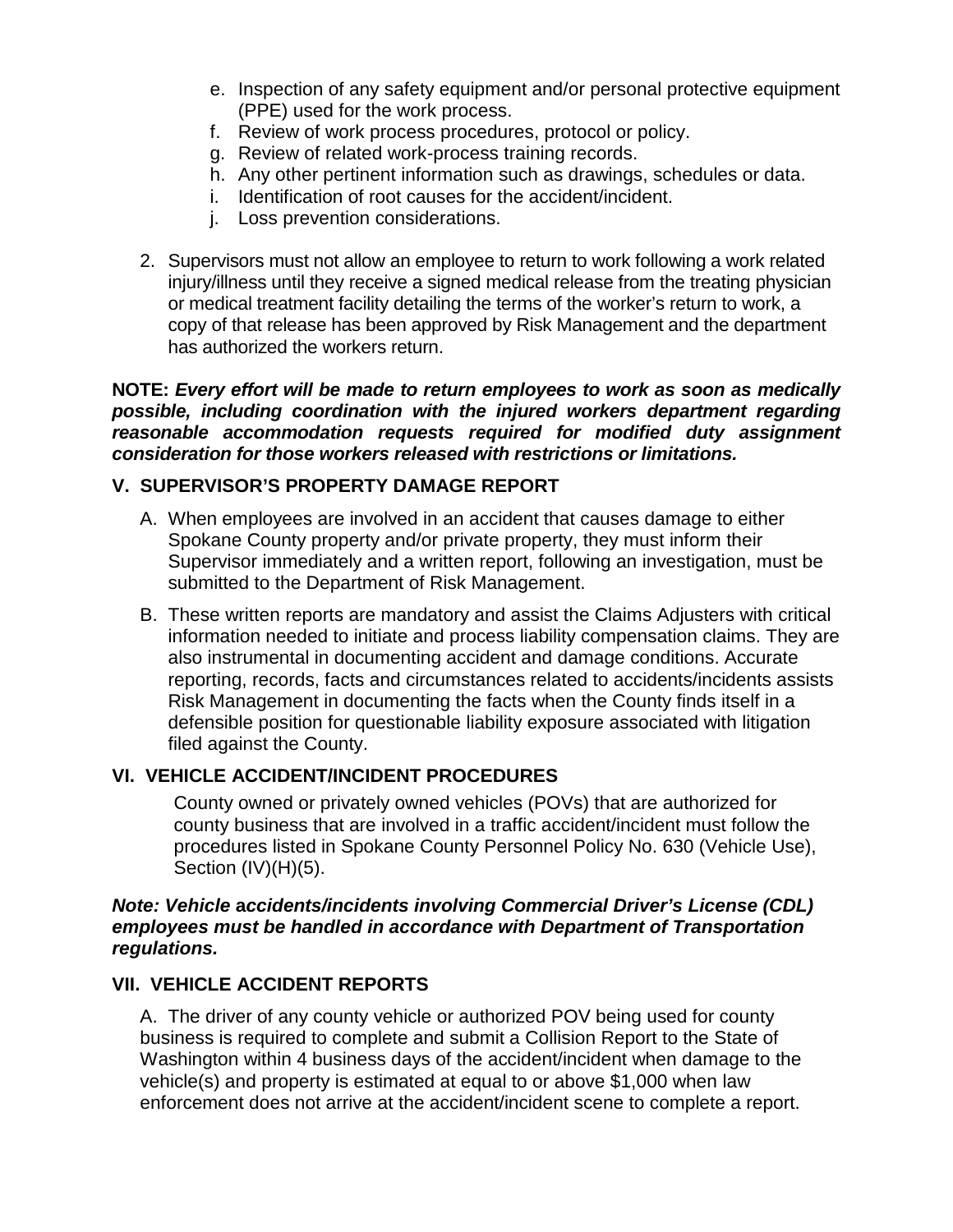- e. Inspection of any safety equipment and/or personal protective equipment (PPE) used for the work process.
- f. Review of work process procedures, protocol or policy.
- g. Review of related work-process training records.
- h. Any other pertinent information such as drawings, schedules or data.
- i. Identification of root causes for the accident/incident.
- j. Loss prevention considerations.
- 2. Supervisors must not allow an employee to return to work following a work related injury/illness until they receive a signed medical release from the treating physician or medical treatment facility detailing the terms of the worker's return to work, a copy of that release has been approved by Risk Management and the department has authorized the workers return.

**NOTE:** *Every effort will be made to return employees to work as soon as medically possible, including coordination with the injured workers department regarding reasonable accommodation requests required for modified duty assignment consideration for those workers released with restrictions or limitations.* 

## **V. SUPERVISOR'S PROPERTY DAMAGE REPORT**

- A. When employees are involved in an accident that causes damage to either Spokane County property and/or private property, they must inform their Supervisor immediately and a written report, following an investigation, must be submitted to the Department of Risk Management.
- B. These written reports are mandatory and assist the Claims Adjusters with critical information needed to initiate and process liability compensation claims. They are also instrumental in documenting accident and damage conditions. Accurate reporting, records, facts and circumstances related to accidents/incidents assists Risk Management in documenting the facts when the County finds itself in a defensible position for questionable liability exposure associated with litigation filed against the County.

## **VI. VEHICLE ACCIDENT/INCIDENT PROCEDURES**

County owned or privately owned vehicles (POVs) that are authorized for county business that are involved in a traffic accident/incident must follow the procedures listed in Spokane County Personnel Policy No. 630 (Vehicle Use), Section (IV)(H)(5).

#### *Note: Vehicle* **a***ccidents/incidents involving Commercial Driver's License (CDL) employees must be handled in accordance with Department of Transportation regulations.*

## **VII. VEHICLE ACCIDENT REPORTS**

A. The driver of any county vehicle or authorized POV being used for county business is required to complete and submit a Collision Report to the State of Washington within 4 business days of the accident/incident when damage to the vehicle(s) and property is estimated at equal to or above \$1,000 when law enforcement does not arrive at the accident/incident scene to complete a report.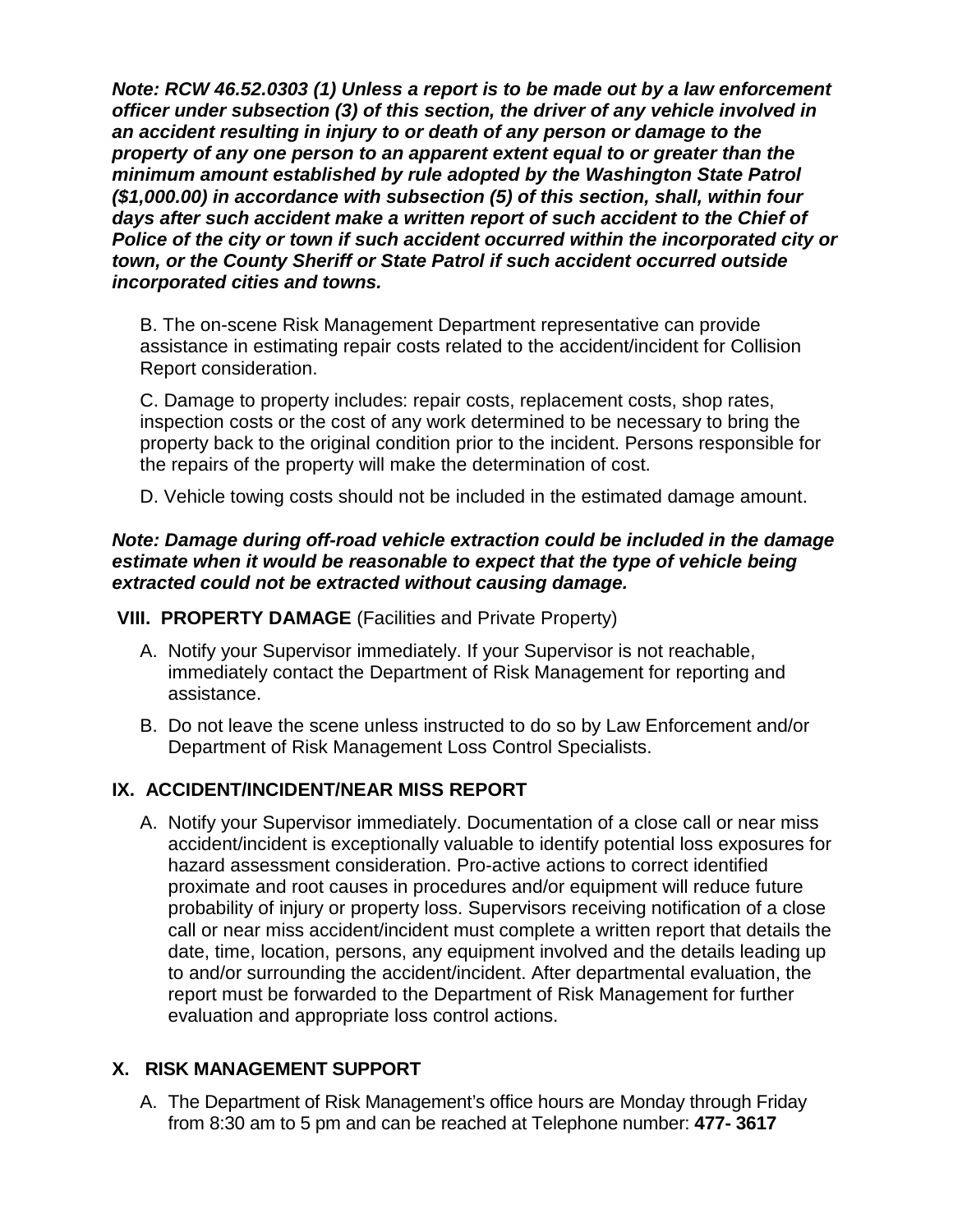*Note: RCW 46.52.0303 (1) Unless a report is to be made out by a law enforcement officer under subsection (3) of this section, the driver of any vehicle involved in an accident resulting in injury to or death of any person or damage to the property of any one person to an apparent extent equal to or greater than the minimum amount established by rule adopted by the Washington State Patrol (\$1,000.00) in accordance with subsection (5) of this section, shall, within four days after such accident make a written report of such accident to the Chief of Police of the city or town if such accident occurred within the incorporated city or town, or the County Sheriff or State Patrol if such accident occurred outside incorporated cities and towns.*

B. The on-scene Risk Management Department representative can provide assistance in estimating repair costs related to the accident/incident for Collision Report consideration.

C. Damage to property includes: repair costs, replacement costs, shop rates, inspection costs or the cost of any work determined to be necessary to bring the property back to the original condition prior to the incident. Persons responsible for the repairs of the property will make the determination of cost.

D. Vehicle towing costs should not be included in the estimated damage amount.

#### *Note: Damage during off-road vehicle extraction could be included in the damage*  estimate when it would be reasonable to expect that the type of vehicle being *extracted could not be extracted without causing damage.*

**VIII. PROPERTY DAMAGE** (Facilities and Private Property)

- A. Notify your Supervisor immediately. If your Supervisor is not reachable, immediately contact the Department of Risk Management for reporting and assistance.
- B. Do not leave the scene unless instructed to do so by Law Enforcement and/or Department of Risk Management Loss Control Specialists.

# **IX. ACCIDENT/INCIDENT/NEAR MISS REPORT**

A. Notify your Supervisor immediately. Documentation of a close call or near miss accident/incident is exceptionally valuable to identify potential loss exposures for hazard assessment consideration. Pro-active actions to correct identified proximate and root causes in procedures and/or equipment will reduce future probability of injury or property loss. Supervisors receiving notification of a close call or near miss accident/incident must complete a written report that details the date, time, location, persons, any equipment involved and the details leading up to and/or surrounding the accident/incident. After departmental evaluation, the report must be forwarded to the Department of Risk Management for further evaluation and appropriate loss control actions.

# **X. RISK MANAGEMENT SUPPORT**

A. The Department of Risk Management's office hours are Monday through Friday from 8:30 am to 5 pm and can be reached at Telephone number: **477- 3617**